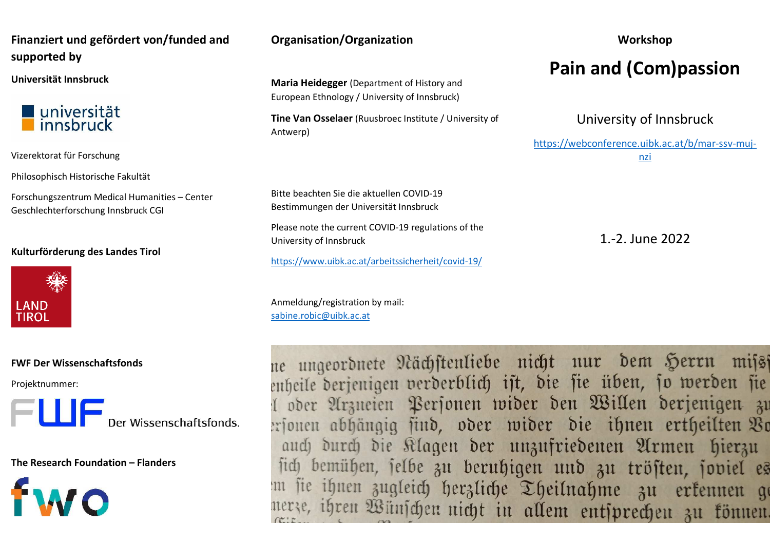# **Finanziert und gefördert von/funded and supported by**

**Universität Innsbruck** 



Vizerektorat für Forschung

Philosophisch Historische Fakultät

Forschungszentrum Medical Humanities – Center Geschlechterforschung Innsbruck CGI

### **Kulturförderung des Landes Tirol**



### **FWF Der Wissenschaftsfonds**

Projektnummer:



**The Research Foundation – Flanders** 



# **Organisation/Organization**

**Maria Heidegger** (Department of History and European Ethnology / University of Innsbruck)

**Tine Van Osselaer** (Ruusbroec Institute / University of Antwerp)

Bitte beachten Sie die aktuellen COVID-19 Bestimmungen der Universität Innsbruck

Please note the current COVID-19 regulations of theUniversity of Innsbruck

https://www.uibk.ac.at/arbeitssicherheit/covid-19/

Anmeldung/registration by mail: sabine.robic@uibk.ac.at

# **Workshop Pain and (Com)passion**

University of Innsbruck

https://webconference.uibk.ac.at/b/mar-ssv-mujnzi

1.-2. June 2022

ne ungeordnete Nächstenliebe nicht nur dem Herrn miss enheile derjenigen verderblich ist, die sie üben, so werden sie oder Arzneien Personen wider den Willen derjenigen zu ersonen abhängig find, oder wider die ihnen ertheilten Vr auch durch die Klagen der unzufriedenen Armen hierzu sich bemühen, selbe zu beruhigen und zu trösten, soviel es sie ihnen zugleich herzliche Theilnahme zu erkennen ge ze, ihren Wünschen nicht in allem entsprechen zu können.